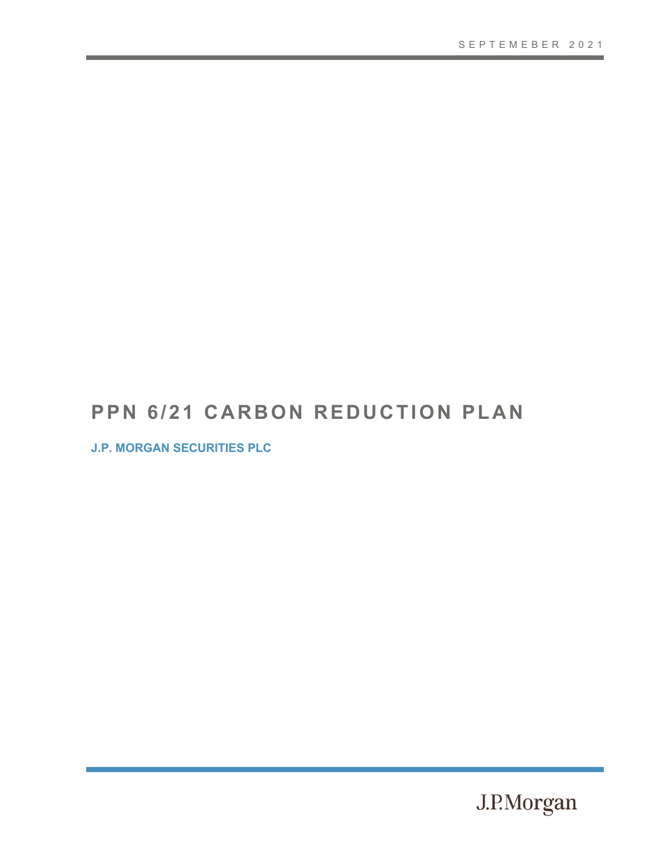# **PPN 6/21 CARBON REDUCTION PLAN**

**J.P. MORGAN SECURITIES PLC**

J.P.Morgan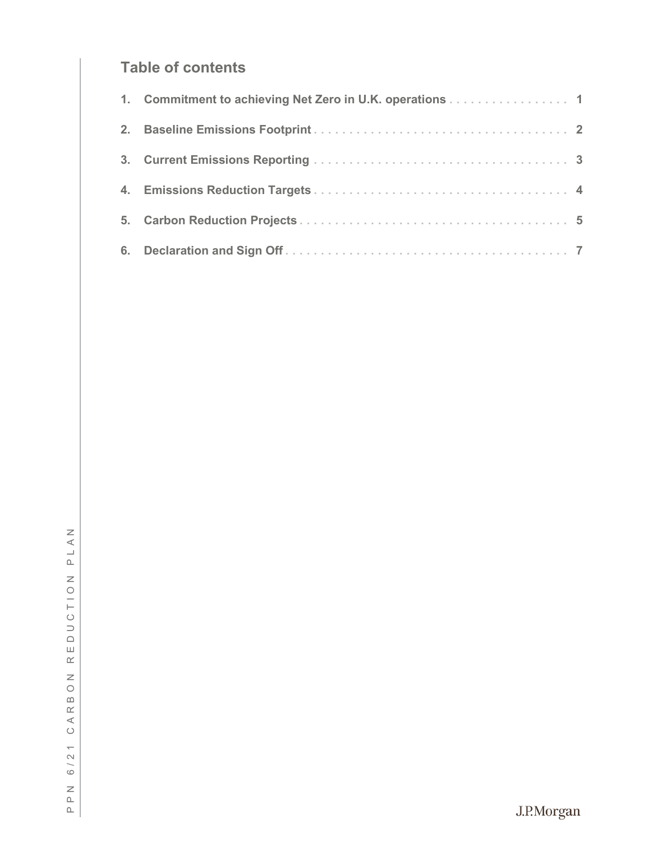### **Table of contents**

| 1. Commitment to achieving Net Zero in U.K. operations 1 |  |
|----------------------------------------------------------|--|
|                                                          |  |
|                                                          |  |
|                                                          |  |
|                                                          |  |
|                                                          |  |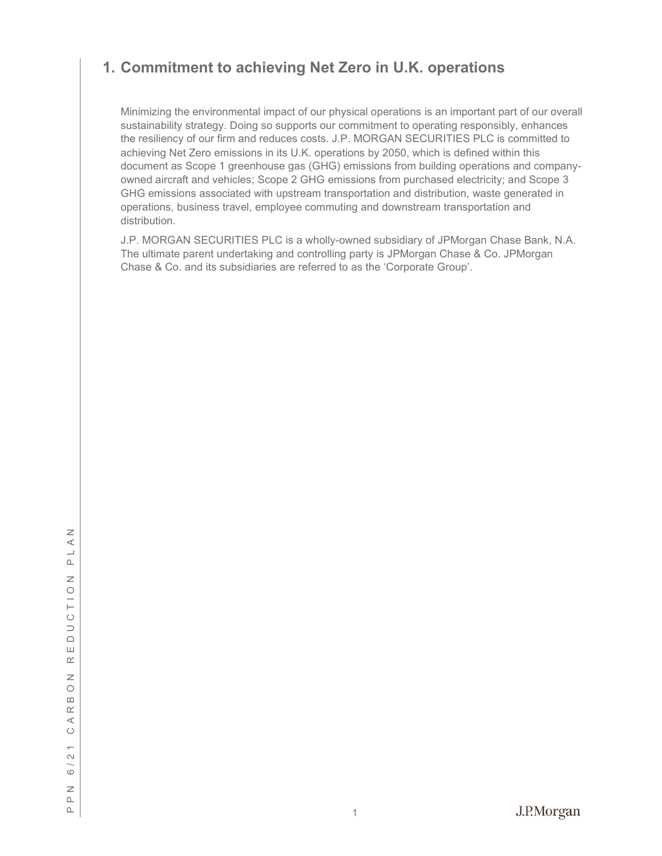### <span id="page-2-0"></span>**1. Commitment to achieving Net Zero in U.K. operations**

Minimizing the environmental impact of our physical operations is an important part of our overall sustainability strategy. Doing so supports our commitment to operating responsibly, enhances the resiliency of our firm and reduces costs. J.P. MORGAN SECURITIES PLC is committed to achieving Net Zero emissions in its U.K. operations by 2050, which is defined within this document as Scope 1 greenhouse gas (GHG) emissions from building operations and company owned aircraft and vehicles; Scope 2 GHG emissions from purchased electricity; and Scope 3 GHG emissions associated with upstream transportation and distribution, waste generated in operations, business travel, employee commuting and downstream transportation and distribution.

J.P. MORGAN SECURITIES PLC is a wholly -owned subsidiary of JPMorgan Chase Bank, N.A. The ultimate parent undertaking and controlling party is JPMorgan Chase & Co. JPMorgan Chase & Co. and its subsidiaries are referred to as the 'Corporate Group'.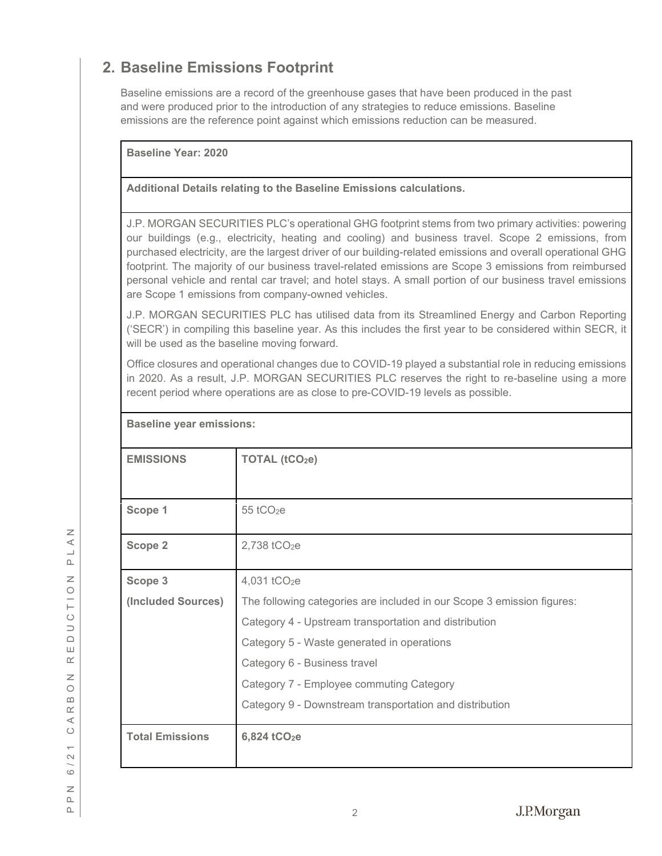## <span id="page-3-0"></span>**2. Baseline Emissions Footprint**

Baseline emissions are a record of the greenhouse gases that have been produced in the past and were produced prior to the introduction of any strategies to reduce emissions. Baseline emissions are the reference point against which emissions reduction can be measured.

**Baseline Year: 2020**

**Baseline year emissions:**

**Additional Details relating to the Baseline Emissions calculations.** 

J.P. MORGAN SECURITIES PLC's operational GHG footprint stems from two primary activities: powering our buildings (e.g., electricity, heating and cooling) and business travel. Scope 2 emissions, from purchased electricity, are the largest driver of our building -related emissions and overall operational GHG footprint. The majority of our business travel-related emissions are Scope 3 emissions from reimbursed personal vehicle and rental car travel; and hotel stays. A small portion of our business travel emissions are Scope 1 emissions from company -owned vehicles.

J.P. MORGAN SECURITIES PLC has utilised data from its Streamlined Energy and Carbon Reporting ('SECR') in compiling this baseline year. As this includes the first year to be considered within SECR, it will be used as the baseline moving forward.

Office closures and operational changes due to COVID -19 played a substantial role in reducing emissions in 2020. As a result, J.P. MORGAN SECURITIES PLC reserves the right to re -baseline using a more recent period where operations are as close to pre -COVID -19 levels as possible.

|                        | <u>naseiline year eililissiniisi</u>                                   |  |  |
|------------------------|------------------------------------------------------------------------|--|--|
| <b>EMISSIONS</b>       | TOTAL (tCO <sub>2</sub> e)                                             |  |  |
| Scope 1                | $55$ tCO <sub>2</sub> e                                                |  |  |
| <b>Scope 2</b>         | 2,738 tCO <sub>2</sub> e                                               |  |  |
| Scope 3                | 4,031 tCO <sub>2</sub> e                                               |  |  |
| (Included Sources)     | The following categories are included in our Scope 3 emission figures: |  |  |
|                        | Category 4 - Upstream transportation and distribution                  |  |  |
|                        | Category 5 - Waste generated in operations                             |  |  |
|                        | Category 6 - Business travel                                           |  |  |
|                        | Category 7 - Employee commuting Category                               |  |  |
|                        | Category 9 - Downstream transportation and distribution                |  |  |
| <b>Total Emissions</b> | 6,824 tCO <sub>2</sub> e                                               |  |  |

 $\overline{z}$ PPN 6/21 CARBON REDUCTION PLAN  $\prec$  $\overline{\phantom{0}}$  $\mathbf{r}$  $\overline{z}$  $\circ$  $\frac{1}{1}$  $\circ$  $\supset$  $\Box$ Ш  $\alpha$  $\overline{z}$  $\circ$  $\cap$  $\underline{\alpha}$  $\prec$  $\circ$  $\overline{\phantom{0}}$  $\sim$  $\circ$  $\geq$  $\square$  $\square$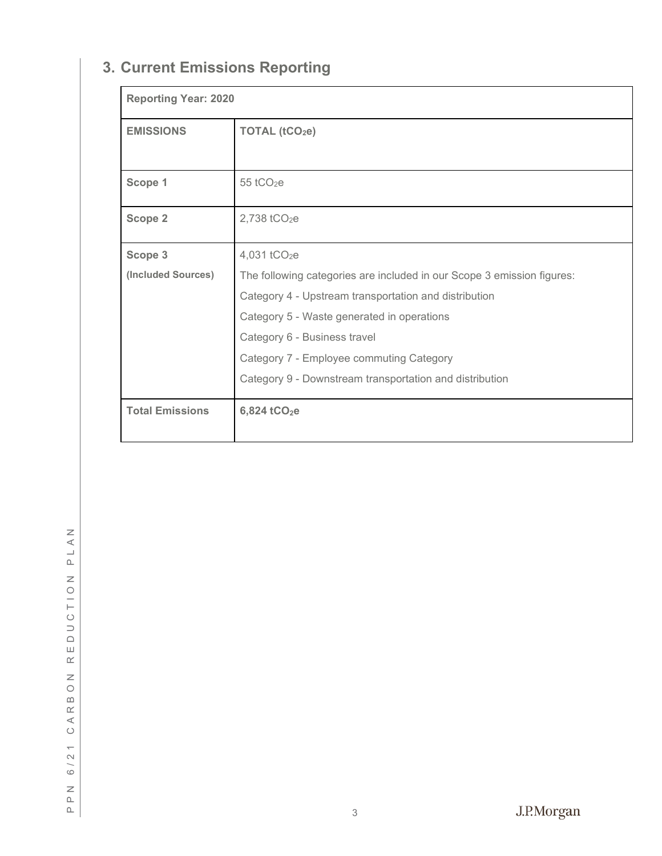# <span id="page-4-0"></span>**3. Current Emissions Reporting**

| <b>Reporting Year: 2020</b> |                                                                        |  |  |
|-----------------------------|------------------------------------------------------------------------|--|--|
| <b>EMISSIONS</b>            | TOTAL $(tCO2e)$                                                        |  |  |
|                             |                                                                        |  |  |
| Scope 1                     | $55$ tCO <sub>2</sub> e                                                |  |  |
| Scope 2                     | 2,738 tCO <sub>2</sub> e                                               |  |  |
|                             |                                                                        |  |  |
| Scope 3                     | 4,031 tCO <sub>2</sub> e                                               |  |  |
| (Included Sources)          | The following categories are included in our Scope 3 emission figures: |  |  |
|                             | Category 4 - Upstream transportation and distribution                  |  |  |
|                             | Category 5 - Waste generated in operations                             |  |  |
|                             | Category 6 - Business travel                                           |  |  |
|                             | Category 7 - Employee commuting Category                               |  |  |
|                             | Category 9 - Downstream transportation and distribution                |  |  |
| <b>Total Emissions</b>      | 6,824 tCO <sub>2</sub> e                                               |  |  |
|                             |                                                                        |  |  |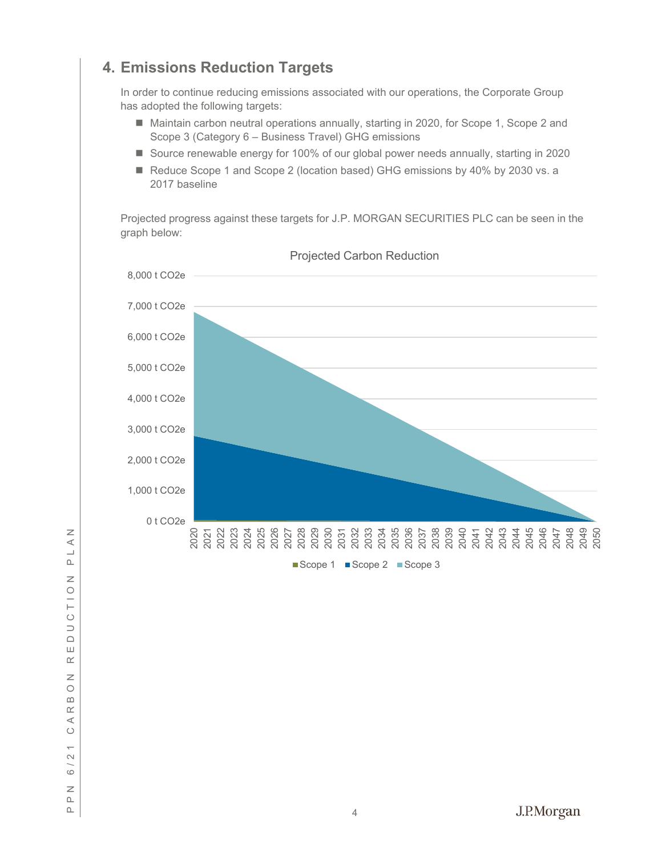# <span id="page-5-0"></span>**4. Emissions Reduction Targets**

In order to continue reducing emissions associated with our operations, the Corporate Group has adopted the following targets:

- Maintain carbon neutral operations annually, starting in 2020, for Scope 1, Scope 2 and Scope 3 (Category 6 – Business Travel) GHG emissions
- Source renewable energy for 100% of our global power needs annually, starting in 2020
- Reduce Scope 1 and Scope 2 (location based) GHG emissions by 40% by 2030 vs. a 2017 baseline

Projected progress against these targets for J.P. MORGAN SECURITIES PLC can be seen in the graph below:



Projected Carbon Reduction

 $\square$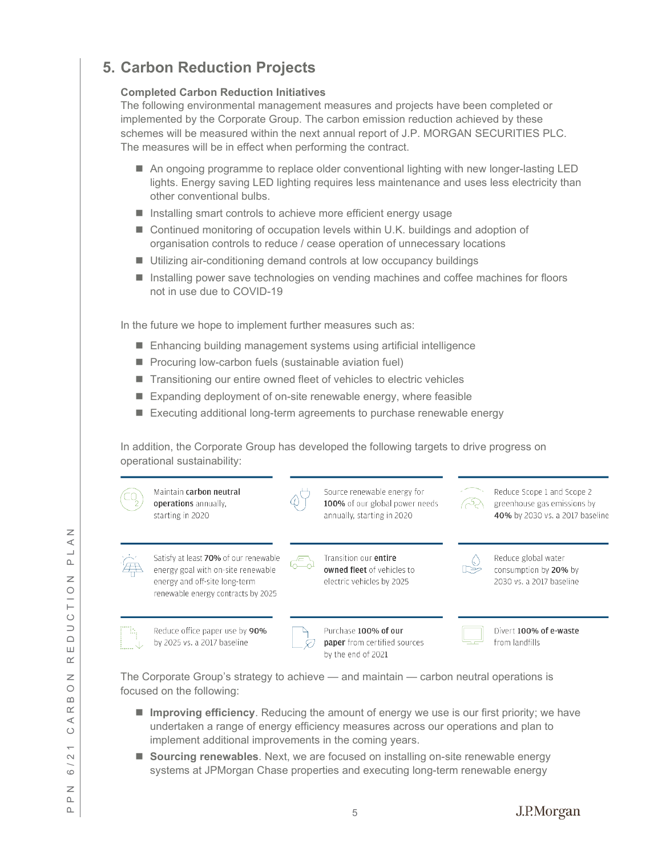# <span id="page-6-0"></span>**5. Carbon Reduction Projects**

#### **Completed Carbon Reduction Initiatives**

The following environmental management measures and projects have been completed or implemented by the Corporate Group. The carbon emission reduction achieved by these schemes will be measured within the next annual report of J.P. MORGAN SECURITIES PLC. The measures will be in effect when performing the contract.

- An ongoing programme to replace older conventional lighting with new longer-lasting LED lights. Energy saving LED lighting requires less maintenance and uses less electricity than other conventional bulbs.
- **Installing smart controls to achieve more efficient energy usage**
- Continued monitoring of occupation levels within U.K. buildings and adoption of organisation controls to reduce / cease operation of unnecessary locations
- Utilizing air-conditioning demand controls at low occupancy buildings
- Installing power save technologies on vending machines and coffee machines for floors not in use due to COVID -19

In the future we hope to implement further measures such as:

- Enhancing building management systems using artificial intelligence
- **Procuring low-carbon fuels (sustainable aviation fuel)**
- Transitioning our entire owned fleet of vehicles to electric vehicles
- Expanding deployment of on-site renewable energy, where feasible
- Executing additional long-term agreements to purchase renewable energy

In addition, the Corporate Group has developed the following targets to drive progress on operational sustainability:



The Corporate Group's strategy to achieve — and maintain — carbon neutral operations is focused on the following:

- **Improving efficiency**. Reducing the amount of energy we use is our first priority; we have undertaken a range of energy efficiency measures across our operations and plan to implement additional improvements in the coming years.
- **Sourcing renewables**. Next, we are focused on installing on-site renewable energy systems at JPMorgan Chase properties and executing long -term renewable energy

PPN 6/21 CARBON REDUCTION PLAN  $\prec$  $\overline{\phantom{a}}$  $\Delta$  $\overline{z}$  $\circ$  $\overline{a}$  $\circ$  $\overline{\phantom{0}}$  $\Box$ Ш  $\alpha$  $\overline{z}$  $\circ$  $\cap$  $\underline{\alpha}$  $\prec$  $\circ$  $\sim$  $\circ$  $\geq$  $\square$ 

 $\square$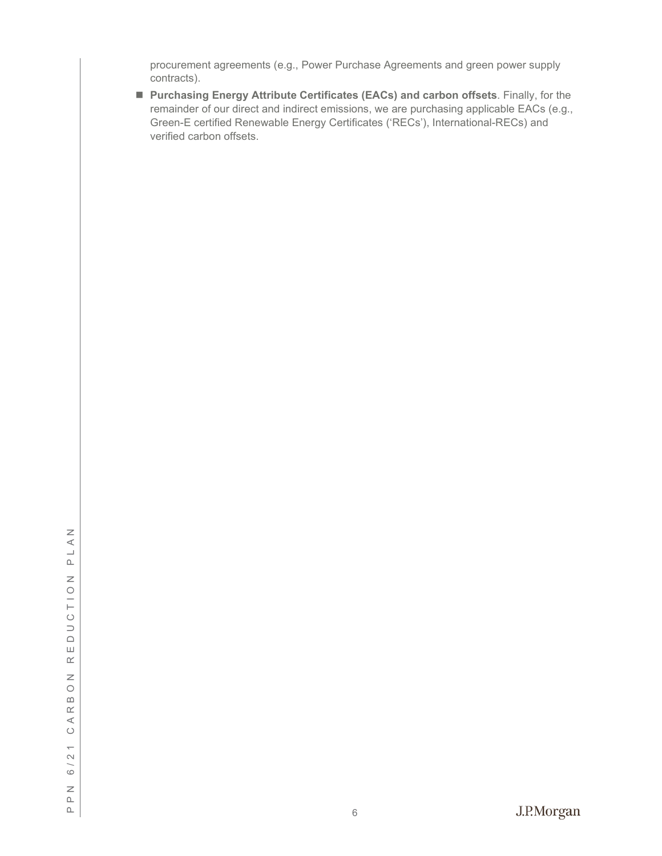procurement agreements (e.g., Power Purchase Agreements and green power supply contracts).

 **Purchasing Energy Attribute Certificates (EACs) and carbon offsets**. Finally, for the remainder of our direct and indirect emissions, we are purchasing applicable EACs (e.g., Green -E certified Renewable Energy Certificates ('RECs'), International -RECs) and verified carbon offsets.